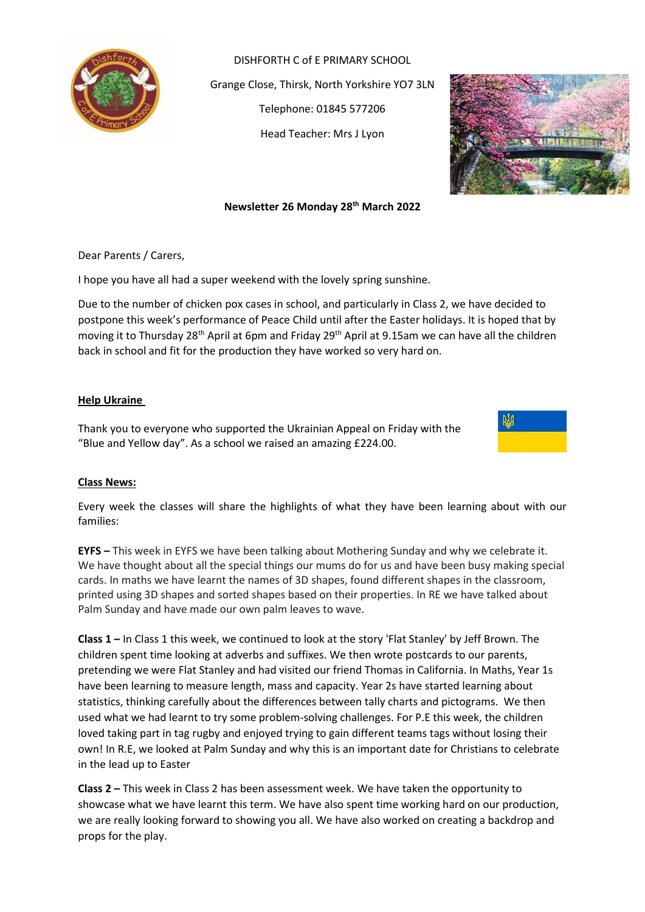

DISHFORTH C of E PRIMARY SCHOOL Grange Close, Thirsk, North Yorkshire YO7 3LN Telephone: 01845 577206 Head Teacher: Mrs J Lyon



# **Newsletter 26 Monday 28 th March 2022**

Dear Parents / Carers,

I hope you have all had a super weekend with the lovely spring sunshine.

Due to the number of chicken pox cases in school, and particularly in Class 2, we have decided to postpone this week's performance of Peace Child until after the Easter holidays. It is hoped that by moving it to Thursday 28<sup>th</sup> April at 6pm and Friday 29<sup>th</sup> April at 9.15am we can have all the children back in school and fit for the production they have worked so very hard on.

### **Help Ukraine**

Thank you to everyone who supported the Ukrainian Appeal on Friday with the "Blue and Yellow day". As a school we raised an amazing £224.00.



### **Class News:**

Every week the classes will share the highlights of what they have been learning about with our families:

**EYFS –** This week in EYFS we have been talking about Mothering Sunday and why we celebrate it. We have thought about all the special things our mums do for us and have been busy making special cards. In maths we have learnt the names of 3D shapes, found different shapes in the classroom, printed using 3D shapes and sorted shapes based on their properties. In RE we have talked about Palm Sunday and have made our own palm leaves to wave.

**Class 1 –** In Class 1 this week, we continued to look at the story 'Flat Stanley' by Jeff Brown. The children spent time looking at adverbs and suffixes. We then wrote postcards to our parents, pretending we were Flat Stanley and had visited our friend Thomas in California. In Maths, Year 1s have been learning to measure length, mass and capacity. Year 2s have started learning about statistics, thinking carefully about the differences between tally charts and pictograms. We then used what we had learnt to try some problem-solving challenges. For P.E this week, the children loved taking part in tag rugby and enjoyed trying to gain different teams tags without losing their own! In R.E, we looked at Palm Sunday and why this is an important date for Christians to celebrate in the lead up to Easter

**Class 2 –** This week in Class 2 has been assessment week. We have taken the opportunity to showcase what we have learnt this term. We have also spent time working hard on our production, we are really looking forward to showing you all. We have also worked on creating a backdrop and props for the play.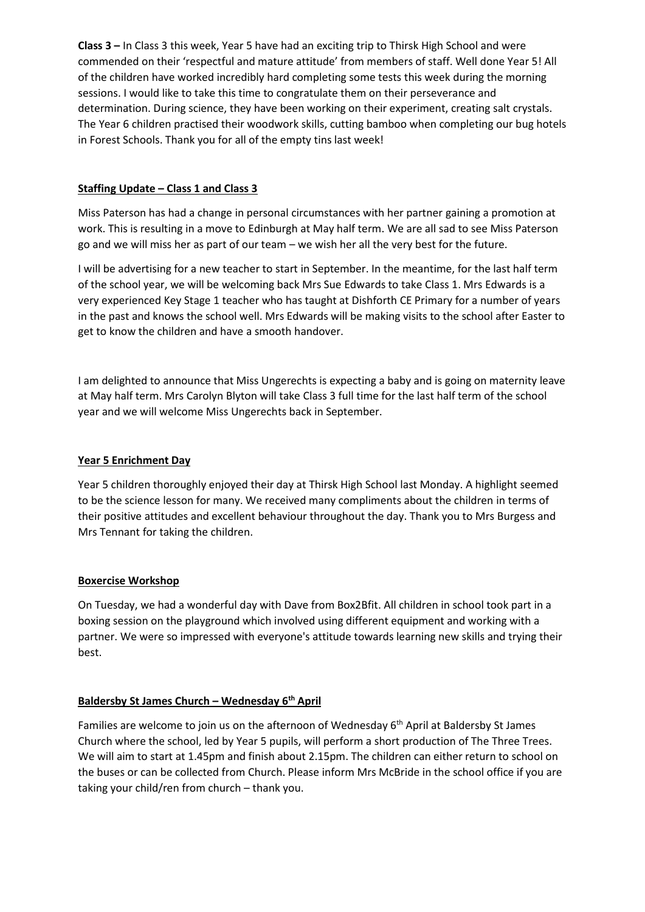**Class 3 –** In Class 3 this week, Year 5 have had an exciting trip to Thirsk High School and were commended on their 'respectful and mature attitude' from members of staff. Well done Year 5! All of the children have worked incredibly hard completing some tests this week during the morning sessions. I would like to take this time to congratulate them on their perseverance and determination. During science, they have been working on their experiment, creating salt crystals. The Year 6 children practised their woodwork skills, cutting bamboo when completing our bug hotels in Forest Schools. Thank you for all of the empty tins last week!

# **Staffing Update – Class 1 and Class 3**

Miss Paterson has had a change in personal circumstances with her partner gaining a promotion at work. This is resulting in a move to Edinburgh at May half term. We are all sad to see Miss Paterson go and we will miss her as part of our team – we wish her all the very best for the future.

I will be advertising for a new teacher to start in September. In the meantime, for the last half term of the school year, we will be welcoming back Mrs Sue Edwards to take Class 1. Mrs Edwards is a very experienced Key Stage 1 teacher who has taught at Dishforth CE Primary for a number of years in the past and knows the school well. Mrs Edwards will be making visits to the school after Easter to get to know the children and have a smooth handover.

I am delighted to announce that Miss Ungerechts is expecting a baby and is going on maternity leave at May half term. Mrs Carolyn Blyton will take Class 3 full time for the last half term of the school year and we will welcome Miss Ungerechts back in September.

# **Year 5 Enrichment Day**

Year 5 children thoroughly enjoyed their day at Thirsk High School last Monday. A highlight seemed to be the science lesson for many. We received many compliments about the children in terms of their positive attitudes and excellent behaviour throughout the day. Thank you to Mrs Burgess and Mrs Tennant for taking the children.

# **Boxercise Workshop**

On Tuesday, we had a wonderful day with Dave from Box2Bfit. All children in school took part in a boxing session on the playground which involved using different equipment and working with a partner. We were so impressed with everyone's attitude towards learning new skills and trying their best.

# **Baldersby St James Church – Wednesday 6th April**

Families are welcome to join us on the afternoon of Wednesday  $6<sup>th</sup>$  April at Baldersby St James Church where the school, led by Year 5 pupils, will perform a short production of The Three Trees. We will aim to start at 1.45pm and finish about 2.15pm. The children can either return to school on the buses or can be collected from Church. Please inform Mrs McBride in the school office if you are taking your child/ren from church – thank you.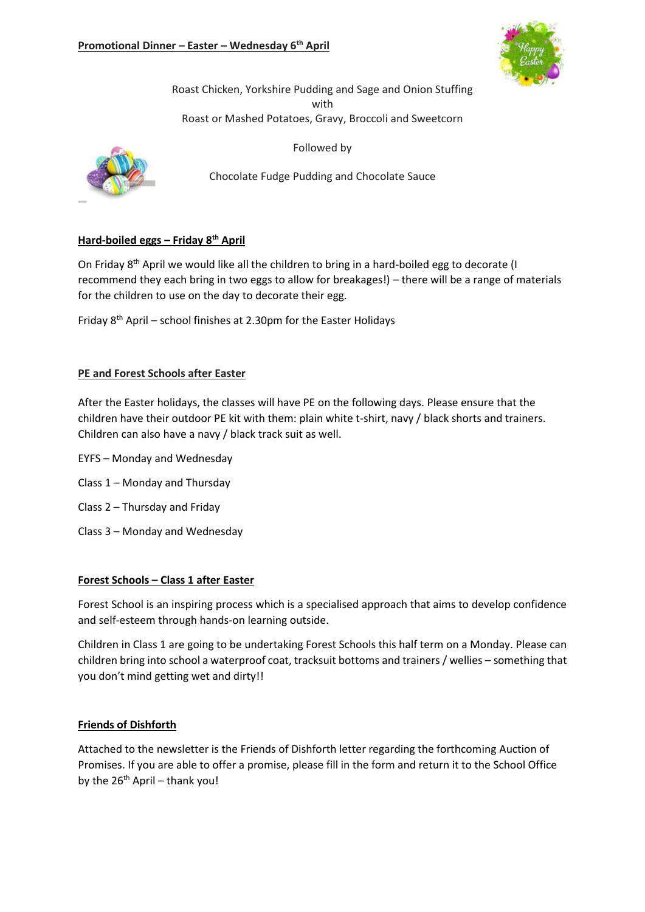

Roast Chicken, Yorkshire Pudding and Sage and Onion Stuffing with Roast or Mashed Potatoes, Gravy, Broccoli and Sweetcorn

Followed by



Chocolate Fudge Pudding and Chocolate Sauce

# **Hard-boiled eggs – Friday 8th April**

On Friday 8<sup>th</sup> April we would like all the children to bring in a hard-boiled egg to decorate (I recommend they each bring in two eggs to allow for breakages!) – there will be a range of materials for the children to use on the day to decorate their egg.

Friday 8th April – school finishes at 2.30pm for the Easter Holidays

### **PE and Forest Schools after Easter**

After the Easter holidays, the classes will have PE on the following days. Please ensure that the children have their outdoor PE kit with them: plain white t-shirt, navy / black shorts and trainers. Children can also have a navy / black track suit as well.

- EYFS Monday and Wednesday
- Class 1 Monday and Thursday
- Class 2 Thursday and Friday
- Class 3 Monday and Wednesday

### **Forest Schools – Class 1 after Easter**

Forest School is an inspiring process which is a specialised approach that aims to develop confidence and self-esteem through hands-on learning outside.

Children in Class 1 are going to be undertaking Forest Schools this half term on a Monday. Please can children bring into school a waterproof coat, tracksuit bottoms and trainers / wellies – something that you don't mind getting wet and dirty!!

### **Friends of Dishforth**

Attached to the newsletter is the Friends of Dishforth letter regarding the forthcoming Auction of Promises. If you are able to offer a promise, please fill in the form and return it to the School Office by the  $26<sup>th</sup>$  April – thank you!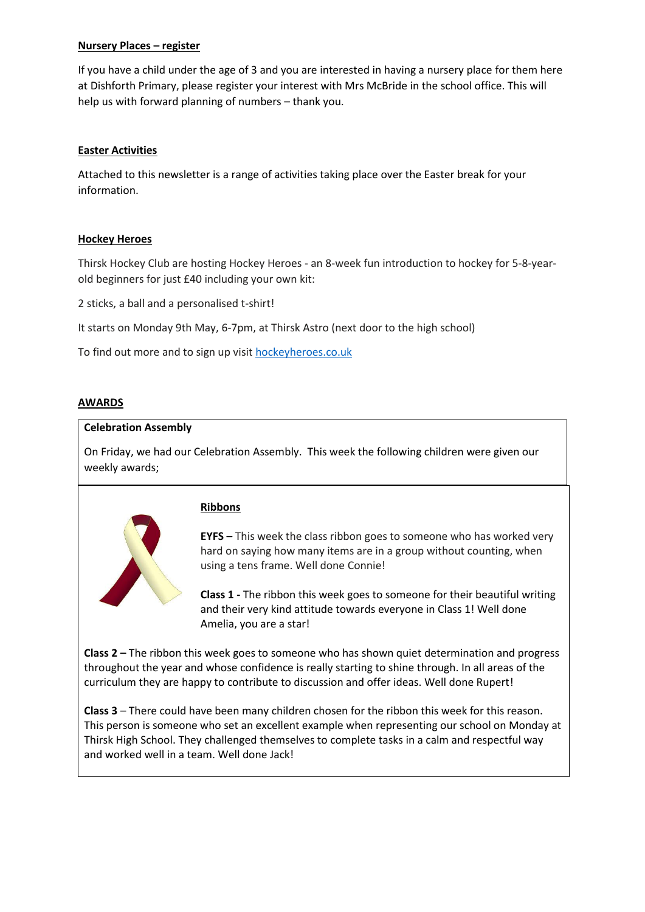### **Nursery Places – register**

If you have a child under the age of 3 and you are interested in having a nursery place for them here at Dishforth Primary, please register your interest with Mrs McBride in the school office. This will help us with forward planning of numbers – thank you.

# **Easter Activities**

Attached to this newsletter is a range of activities taking place over the Easter break for your information.

### **Hockey Heroes**

Thirsk Hockey Club are hosting Hockey Heroes - an 8-week fun introduction to hockey for 5-8-yearold beginners for just £40 including your own kit:

2 sticks, a ball and a personalised t-shirt!

It starts on Monday 9th May, 6-7pm, at Thirsk Astro (next door to the high school)

To find out more and to sign up visit [hockeyheroes.co.uk](http://hockeyheroes.co.uk/)

### **AWARDS**

#### **Celebration Assembly**

On Friday, we had our Celebration Assembly. This week the following children were given our weekly awards;



### **Ribbons**

**EYFS** – This week the class ribbon goes to someone who has worked very hard on saying how many items are in a group without counting, when using a tens frame. Well done Connie!

**Class 1 -** The ribbon this week goes to someone for their beautiful writing and their very kind attitude towards everyone in Class 1! Well done Amelia, you are a star!

**Class 2 –** The ribbon this week goes to someone who has shown quiet determination and progress throughout the year and whose confidence is really starting to shine through. In all areas of the curriculum they are happy to contribute to discussion and offer ideas. Well done Rupert!

**Class 3** – There could have been many children chosen for the ribbon this week for this reason. This person is someone who set an excellent example when representing our school on Monday at Thirsk High School. They challenged themselves to complete tasks in a calm and respectful way and worked well in a team. Well done Jack!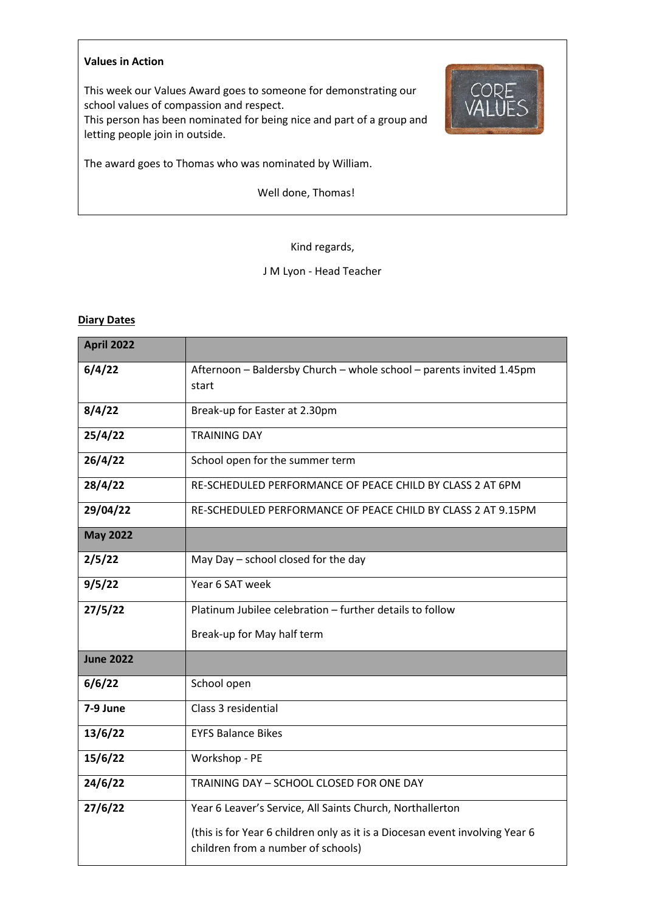#### **Values in Action**

This week our Values Award goes to someone for demonstrating our school values of compassion and respect.

This person has been nominated for being nice and part of a group and letting people join in outside.



The award goes to Thomas who was nominated by William.

Well done, Thomas!

### Kind regards,

# J M Lyon - Head Teacher

### **Diary Dates**

| <b>April 2022</b> |                                                                                                                    |  |  |  |  |
|-------------------|--------------------------------------------------------------------------------------------------------------------|--|--|--|--|
| 6/4/22            | Afternoon - Baldersby Church - whole school - parents invited 1.45pm<br>start                                      |  |  |  |  |
| 8/4/22            | Break-up for Easter at 2.30pm                                                                                      |  |  |  |  |
| 25/4/22           | <b>TRAINING DAY</b>                                                                                                |  |  |  |  |
| 26/4/22           | School open for the summer term                                                                                    |  |  |  |  |
| 28/4/22           | RE-SCHEDULED PERFORMANCE OF PEACE CHILD BY CLASS 2 AT 6PM                                                          |  |  |  |  |
| 29/04/22          | RE-SCHEDULED PERFORMANCE OF PEACE CHILD BY CLASS 2 AT 9.15PM                                                       |  |  |  |  |
| <b>May 2022</b>   |                                                                                                                    |  |  |  |  |
| 2/5/22            | May Day - school closed for the day                                                                                |  |  |  |  |
| 9/5/22            | Year 6 SAT week                                                                                                    |  |  |  |  |
| 27/5/22           | Platinum Jubilee celebration - further details to follow                                                           |  |  |  |  |
|                   | Break-up for May half term                                                                                         |  |  |  |  |
| <b>June 2022</b>  |                                                                                                                    |  |  |  |  |
| 6/6/22            | School open                                                                                                        |  |  |  |  |
| 7-9 June          | Class 3 residential                                                                                                |  |  |  |  |
| 13/6/22           | <b>EYFS Balance Bikes</b>                                                                                          |  |  |  |  |
| 15/6/22           | Workshop - PE                                                                                                      |  |  |  |  |
| 24/6/22           | TRAINING DAY - SCHOOL CLOSED FOR ONE DAY                                                                           |  |  |  |  |
| 27/6/22           | Year 6 Leaver's Service, All Saints Church, Northallerton                                                          |  |  |  |  |
|                   | (this is for Year 6 children only as it is a Diocesan event involving Year 6<br>children from a number of schools) |  |  |  |  |